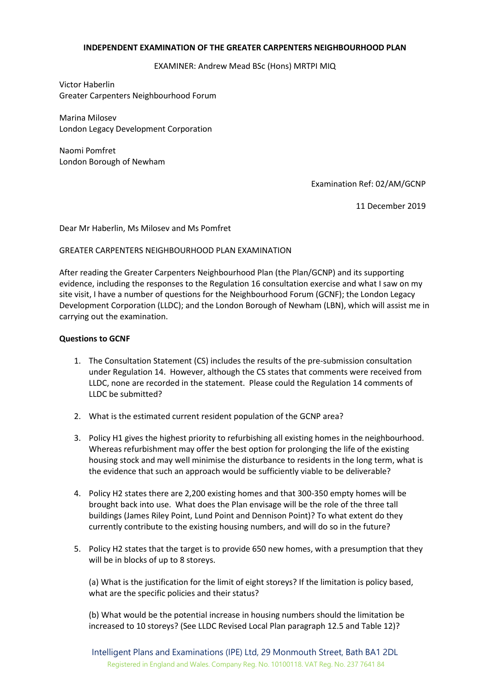#### **INDEPENDENT EXAMINATION OF THE GREATER CARPENTERS NEIGHBOURHOOD PLAN**

EXAMINER: Andrew Mead BSc (Hons) MRTPI MIQ

Victor Haberlin Greater Carpenters Neighbourhood Forum

Marina Milosev London Legacy Development Corporation

Naomi Pomfret London Borough of Newham

Examination Ref: 02/AM/GCNP

11 December 2019

Dear Mr Haberlin, Ms Milosev and Ms Pomfret

## GREATER CARPENTERS NEIGHBOURHOOD PLAN EXAMINATION

After reading the Greater Carpenters Neighbourhood Plan (the Plan/GCNP) and its supporting evidence, including the responses to the Regulation 16 consultation exercise and what I saw on my site visit, I have a number of questions for the Neighbourhood Forum (GCNF); the London Legacy Development Corporation (LLDC); and the London Borough of Newham (LBN), which will assist me in carrying out the examination.

#### **Questions to GCNF**

- 1. The Consultation Statement (CS) includes the results of the pre-submission consultation under Regulation 14. However, although the CS states that comments were received from LLDC, none are recorded in the statement. Please could the Regulation 14 comments of LLDC be submitted?
- 2. What is the estimated current resident population of the GCNP area?
- 3. Policy H1 gives the highest priority to refurbishing all existing homes in the neighbourhood. Whereas refurbishment may offer the best option for prolonging the life of the existing housing stock and may well minimise the disturbance to residents in the long term, what is the evidence that such an approach would be sufficiently viable to be deliverable?
- 4. Policy H2 states there are 2,200 existing homes and that 300-350 empty homes will be brought back into use. What does the Plan envisage will be the role of the three tall buildings (James Riley Point, Lund Point and Dennison Point)? To what extent do they currently contribute to the existing housing numbers, and will do so in the future?
- 5. Policy H2 states that the target is to provide 650 new homes, with a presumption that they will be in blocks of up to 8 storeys.

(a) What is the justification for the limit of eight storeys? If the limitation is policy based, what are the specific policies and their status?

(b) What would be the potential increase in housing numbers should the limitation be increased to 10 storeys? (See LLDC Revised Local Plan paragraph 12.5 and Table 12)?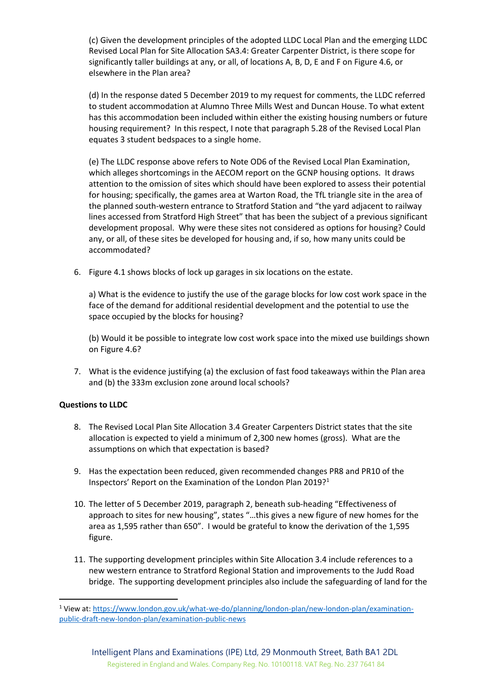(c) Given the development principles of the adopted LLDC Local Plan and the emerging LLDC Revised Local Plan for Site Allocation SA3.4: Greater Carpenter District, is there scope for significantly taller buildings at any, or all, of locations A, B, D, E and F on Figure 4.6, or elsewhere in the Plan area?

(d) In the response dated 5 December 2019 to my request for comments, the LLDC referred to student accommodation at Alumno Three Mills West and Duncan House. To what extent has this accommodation been included within either the existing housing numbers or future housing requirement? In this respect, I note that paragraph 5.28 of the Revised Local Plan equates 3 student bedspaces to a single home.

(e) The LLDC response above refers to Note OD6 of the Revised Local Plan Examination, which alleges shortcomings in the AECOM report on the GCNP housing options. It draws attention to the omission of sites which should have been explored to assess their potential for housing; specifically, the games area at Warton Road, the TfL triangle site in the area of the planned south-western entrance to Stratford Station and "the yard adjacent to railway lines accessed from Stratford High Street" that has been the subject of a previous significant development proposal. Why were these sites not considered as options for housing? Could any, or all, of these sites be developed for housing and, if so, how many units could be accommodated?

6. Figure 4.1 shows blocks of lock up garages in six locations on the estate.

a) What is the evidence to justify the use of the garage blocks for low cost work space in the face of the demand for additional residential development and the potential to use the space occupied by the blocks for housing?

(b) Would it be possible to integrate low cost work space into the mixed use buildings shown on Figure 4.6?

7. What is the evidence justifying (a) the exclusion of fast food takeaways within the Plan area and (b) the 333m exclusion zone around local schools?

# **Questions to LLDC**

**.** 

- 8. The Revised Local Plan Site Allocation 3.4 Greater Carpenters District states that the site allocation is expected to yield a minimum of 2,300 new homes (gross). What are the assumptions on which that expectation is based?
- 9. Has the expectation been reduced, given recommended changes PR8 and PR10 of the Inspectors' Report on the Examination of the London Plan 2019?<sup>1</sup>
- 10. The letter of 5 December 2019, paragraph 2, beneath sub-heading "Effectiveness of approach to sites for new housing", states "…this gives a new figure of new homes for the area as 1,595 rather than 650". I would be grateful to know the derivation of the 1,595 figure.
- 11. The supporting development principles within Site Allocation 3.4 include references to a new western entrance to Stratford Regional Station and improvements to the Judd Road bridge. The supporting development principles also include the safeguarding of land for the

<sup>&</sup>lt;sup>1</sup> View at: [https://www.london.gov.uk/what-we-do/planning/london-plan/new-london-plan/examination](https://www.london.gov.uk/what-we-do/planning/london-plan/new-london-plan/examination-public-draft-new-london-plan/examination-public-news)[public-draft-new-london-plan/examination-public-news](https://www.london.gov.uk/what-we-do/planning/london-plan/new-london-plan/examination-public-draft-new-london-plan/examination-public-news)